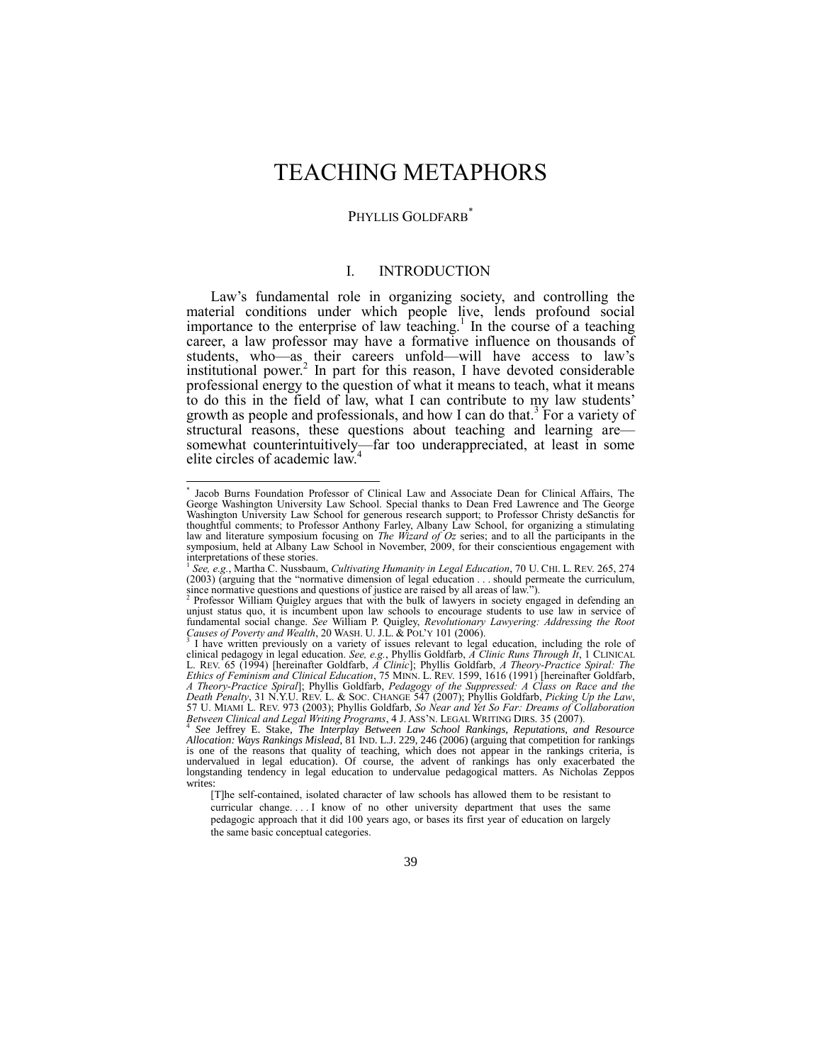# TEACHING METAPHORS

## PHYLLIS GOLDFARB<sup>\*</sup>

## <span id="page-0-0"></span>I. INTRODUCTION

Law's fundamental role in organizing society, and controlling the material conditions under which people live, lends profound social importance to the enterprise of law teaching.<sup>1</sup> In the course of a teaching career, a law professor may have a formative influence on thousands of students, who—as their careers unfold—will have access to law's institutional power.<sup>2</sup> In part for this reason, I have devoted considerable professional energy to the question of what it means to teach, what it means to do this in the field of law, what I can contribute to my law students' growth as people and professionals, and how I can do that.<sup>3</sup> For a variety of structural reasons, these questions about teaching and learning aresomewhat counterintuitively—far too underappreciated, at least in some elite circles of academic law.<sup>4</sup>

 \* Jacob Burns Foundation Professor of Clinical Law and Associate Dean for Clinical Affairs, The George Washington University Law School. Special thanks to Dean Fred Lawrence and The George Washington University Law School for generous research support; to Professor Christy deSanctis for thoughtful comments; to Professor Anthony Farley, Albany Law School, for organizing a stimulating law and literature symposium focusing on *The Wizard of Oz* series; and to all the participants in the symposium, held at Albany Law School in November, 2009, for their conscientious engagement with

interpretations of these stories. 1 *See, e.g.*, Martha C. Nussbaum, *Cultivating Humanity in Legal Education*, 70 U. CHI. L. REV. 265, 274 (2003) (arguing that the "normative dimension of legal education . . . should permeate the curriculum, since normative questions and questions of justice are raised by all areas of law.").

Professor William Quigley argues that with the bulk of lawyers in society engaged in defending an unjust status quo, it is incumbent upon law schools to encourage students to use law in service of fundamental social change. *See* William P. Quigley, *Revolutionary Lawyering: Addressing the Root Causes of Poverty and Wealth*, 20 WASH. U. J.L. & POL'Y 101 (2006). 3

I have written previously on a variety of issues relevant to legal education, including the role of clinical pedagogy in legal education. *See, e.g.*, Phyllis Goldfarb, *A Clinic Runs Through It*, 1 CLINICAL L. REV. 65 (1994) [hereinafter Goldfarb, *A Clinic*]; Phyllis Goldfarb, *A Theory-Practice Spiral: The Ethics of Feminism and Clinical Education*, 75 MINN. L. REV. 1599, 1616 (1991) [hereinafter Goldfarb, *A Theory-Practice Spiral*]; Phyllis Goldfarb, *Pedagogy of the Suppressed: A Class on Race and the Death Penalty*, 31 N.Y.U. REV. L. & SOC. CHANGE 547 (2007); Phyllis Goldfarb, *Picking Up the Law*, 57 U. MIAMI L. REV. 973 (2003); Phyllis Goldfarb, *So Near and Yet So Far: Dreams of Collaboration*

Between Clinical and Legal Writing Programs, 4 J. ASS'N. LEGAL WRITING DIRS. 35 (2007).<br><sup>4</sup> See Jeffrey E. Stake, *The Interplay Between Law School Rankings, Reputations, and Resource*<br>Allocation: Ways Rankings Mislead, 81 is one of the reasons that quality of teaching, which does not appear in the rankings criteria, is undervalued in legal education). Of course, the advent of rankings has only exacerbated the longstanding tendency in legal education to undervalue pedagogical matters. As Nicholas Zeppos writes:

<sup>[</sup>T]he self-contained, isolated character of law schools has allowed them to be resistant to curricular change. . . . I know of no other university department that uses the same pedagogic approach that it did 100 years ago, or bases its first year of education on largely the same basic conceptual categories.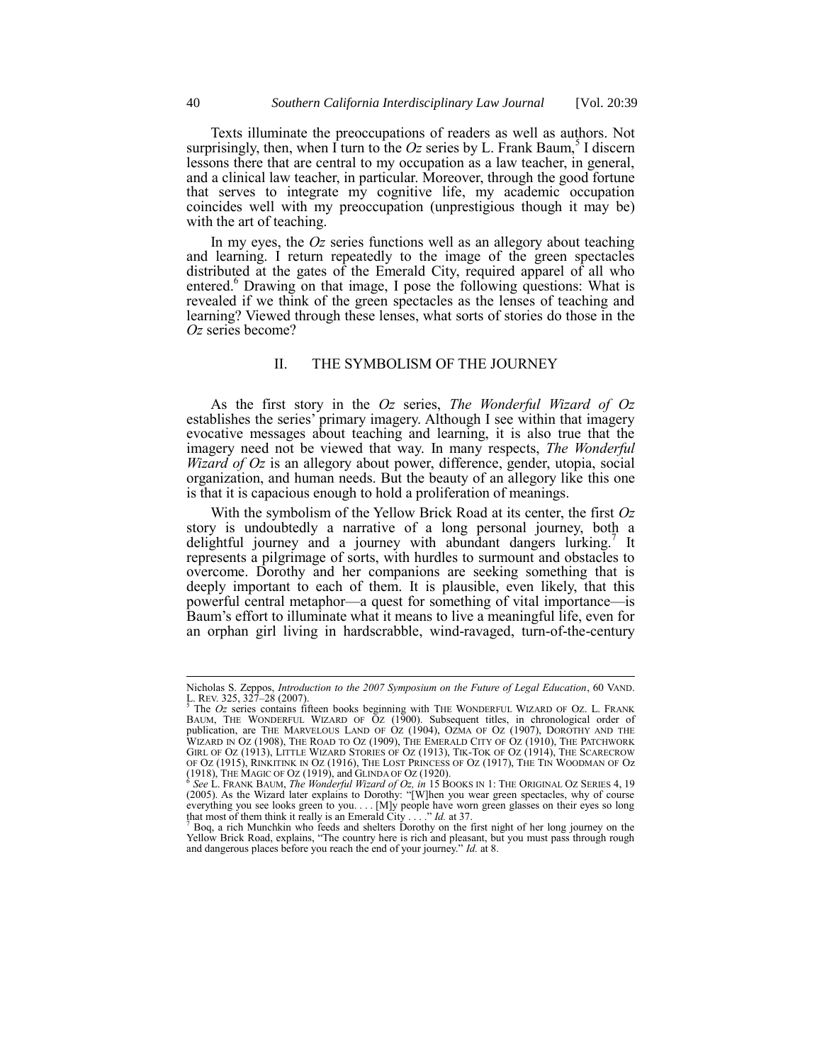Texts illuminate the preoccupations of readers as well as authors. Not surprisingly, then, when  $\vec{l}$  turn to the *Oz* series by L. Frank Baum,<sup>5</sup> I discern lessons there that are central to my occupation as a law teacher, in general, and a clinical law teacher, in particular. Moreover, through the good fortune that serves to integrate my cognitive life, my academic occupation coincides well with my preoccupation (unprestigious though it may be) with the art of teaching.

<span id="page-1-0"></span>In my eyes, the *Oz* series functions well as an allegory about teaching and learning. I return repeatedly to the image of the green spectacles distributed at the gates of the Emerald City, required apparel of all who entered.<sup>6</sup> Drawing on that image, I pose the following questions: What is revealed if we think of the green spectacles as the lenses of teaching and learning? Viewed through these lenses, what sorts of stories do those in the *Oz* series become?

## II. THE SYMBOLISM OF THE JOURNEY

As the first story in the *Oz* series, *The Wonderful Wizard of Oz* establishes the series' primary imagery. Although I see within that imagery evocative messages about teaching and learning, it is also true that the imagery need not be viewed that way. In many respects, *The Wonderful Wizard of Oz* is an allegory about power, difference, gender, utopia, social organization, and human needs. But the beauty of an allegory like this one is that it is capacious enough to hold a proliferation of meanings.

With the symbolism of the Yellow Brick Road at its center, the first *Oz* story is undoubtedly a narrative of a long personal journey, both a delightful journey and a journey with abundant dangers lurking.<sup>7</sup> It represents a pilgrimage of sorts, with hurdles to surmount and obstacles to overcome. Dorothy and her companions are seeking something that is deeply important to each of them. It is plausible, even likely, that this powerful central metaphor—a quest for something of vital importance—is Baum's effort to illuminate what it means to live a meaningful life, even for an orphan girl living in hardscrabble, wind-ravaged, turn-of-the-century

Nicholas S. Zeppos, *Introduction to the 2007 Symposium on the Future of Legal Education*, 60 VAND. L. REV. 325, 327–28 (2007).

<sup>5</sup> The *Oz* series contains fifteen books beginning with THE WONDERFUL WIZARD OF OZ. L. FRANK BAUM, THE WONDERFUL WIZARD OF OZ (1900). Subsequent titles, in chronological order of publication, are THE MARVELOUS LAND OF OZ (1904), OZMA OF OZ (1907), DOROTHY AND THE WIZARD IN OZ (1908), THE ROAD TO OZ (1909), THE EMERALD CITY OF OZ (1910), THE PATCHWORK GIRL OF OZ (1913), LITTLE WIZARD STORIES OF OZ (1913), TIK-TOK OF OZ (1914), THE SCARECROW OF OZ (1915), RINKITINK IN OZ (1916), THE LOST PRINCESS OF OZ (1917), THE TIN WOODMAN OF Oz  $(1918)$ , THE MAGIC OF OZ  $(1919)$ , and GLINDA OF OZ  $(1920)$ .

<sup>&</sup>lt;sup>6</sup> See L. FRANK BAUM, *The Wonderful Wizard of Oz*, *in* 15 BOOKS IN 1: THE ORIGINAL OZ SERIES 4, 19 (2005). As the Wizard later explains to Dorothy: "[W]hen you wear green spectacles, why of course everything you see looks green to you.... [M]y people have worn green glasses on their eyes so long that most of them think it really is an Emerald City . . . . " *Id.* at 37.  $\frac{7}{1}$  Boq, a rich Munchkin who feeds and shelters Dorothy on the first night of her long journey on the

Yellow Brick Road, explains, "The country here is rich and pleasant, but you must pass through rough and dangerous places before you reach the end of your journey." *Id.* at 8.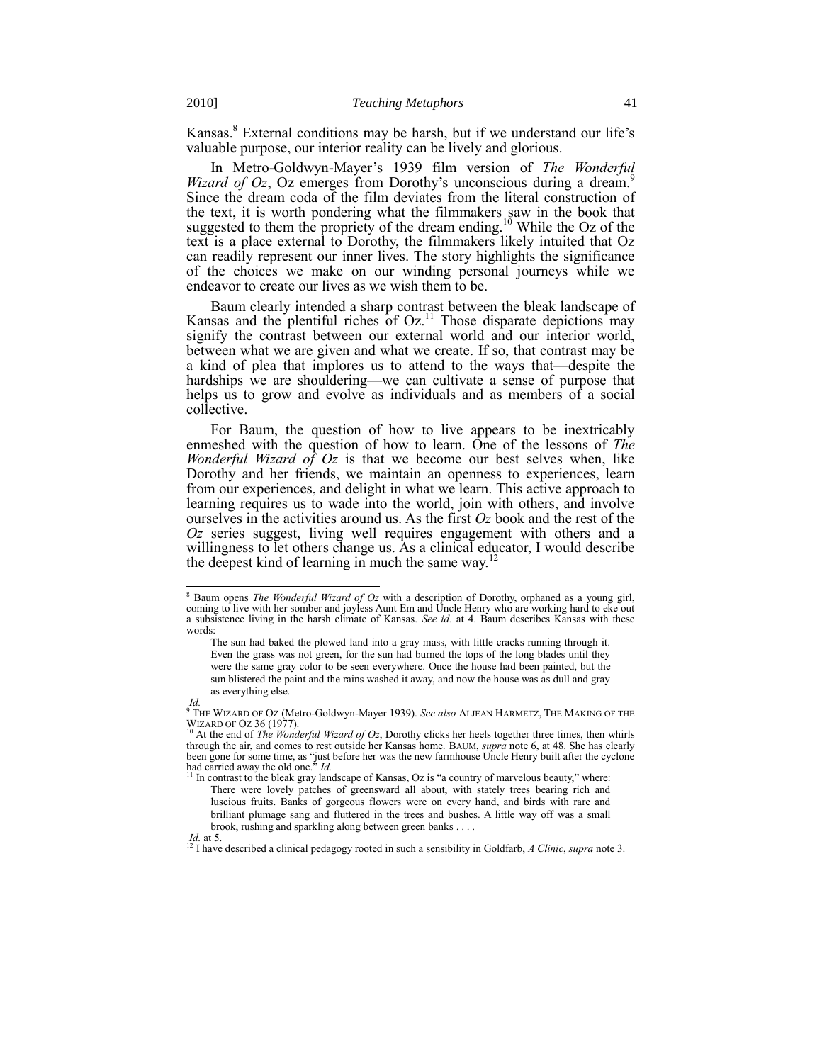Kansas.<sup>8</sup> External conditions may be harsh, but if we understand our life's valuable purpose, our interior reality can be lively and glorious.

<span id="page-2-0"></span>In Metro-Goldwyn-Mayer's 1939 film version of *The Wonderful*  9 *Wizard of Oz*, Oz emerges from Dorothy's unconscious during a dream. Since the dream coda of the film deviates from the literal construction of the text, it is worth pondering what the filmmakers saw in the book that suggested to them the propriety of the dream ending.<sup>10</sup> While the Oz of the text is a place external to Dorothy, the filmmakers likely intuited that Oz can readily represent our inner lives. The story highlights the significance of the choices we make on our winding personal journeys while we endeavor to create our lives as we wish them to be.

Baum clearly intended a sharp contrast between the bleak landscape of Kansas and the plentiful riches of Oz.<sup>11</sup> Those disparate depictions may signify the contrast between our external world and our interior world, between what we are given and what we create. If so, that contrast may be a kind of plea that implores us to attend to the ways that—despite the hardships we are shouldering—we can cultivate a sense of purpose that helps us to grow and evolve as individuals and as members of a social collective.

For Baum, the question of how to live appears to be inextricably enmeshed with the question of how to learn. One of the lessons of *The Wonderful Wizard of Oz* is that we become our best selves when, like Dorothy and her friends, we maintain an openness to experiences, learn from our experiences, and delight in what we learn. This active approach to learning requires us to wade into the world, join with others, and involve ourselves in the activities around us. As the first *Oz* book and the rest of the *Oz* series suggest, living well requires engagement with others and a willingness to let others change us. As a clinical educator, I would describe the deepest kind of learning in much the same way.<sup>1</sup>

<sup>8</sup> Baum opens *The Wonderful Wizard of Oz* with a description of Dorothy, orphaned as a young girl, coming to live with her somber and joyless Aunt Em and Uncle Henry who are working hard to eke out a subsistence living in the harsh climate of Kansas. *See id.* at 4. Baum describes Kansas with these words:

The sun had baked the plowed land into a gray mass, with little cracks running through it. Even the grass was not green, for the sun had burned the tops of the long blades until they were the same gray color to be seen everywhere. Once the house had been painted, but the sun blistered the paint and the rains washed it away, and now the house was as dull and gray as everything else.

*Id.* <sup>9</sup> THE WIZARD OF OZ (Metro-Goldwyn-Mayer 1939). *See also* ALJEAN HARMETZ, THE MAKING OF THE WIZARD OF OZ 36 (1977).<br><sup>10</sup> At the end of *The Wonderful Wizard of Oz*, Dorothy clicks her heels together three times, then whirls

through the air, and comes to rest outside her Kansas home. BAUM, *supra* not[e 6,](#page-1-0) at 48. She has clearly been gone for some time, as "just before her was the new farmhouse Uncle Henry built after the cyclone had carried away the old one.<sup>55</sup> *Id.* 

In contrast to the bleak gray landscape of Kansas, Oz is "a country of marvelous beauty," where: There were lovely patches of greensward all about, with stately trees bearing rich and luscious fruits. Banks of gorgeous flowers were on every hand, and birds with rare and brilliant plumage sang and fluttered in the trees and bushes. A little way off was a small brook, rushing and sparkling along between green banks . . . .

*Id.* at 5. <sup>12</sup> I have described a clinical pedagogy rooted in such a sensibility in Goldfarb, *A Clinic*, *supra* note [3.](#page-0-0)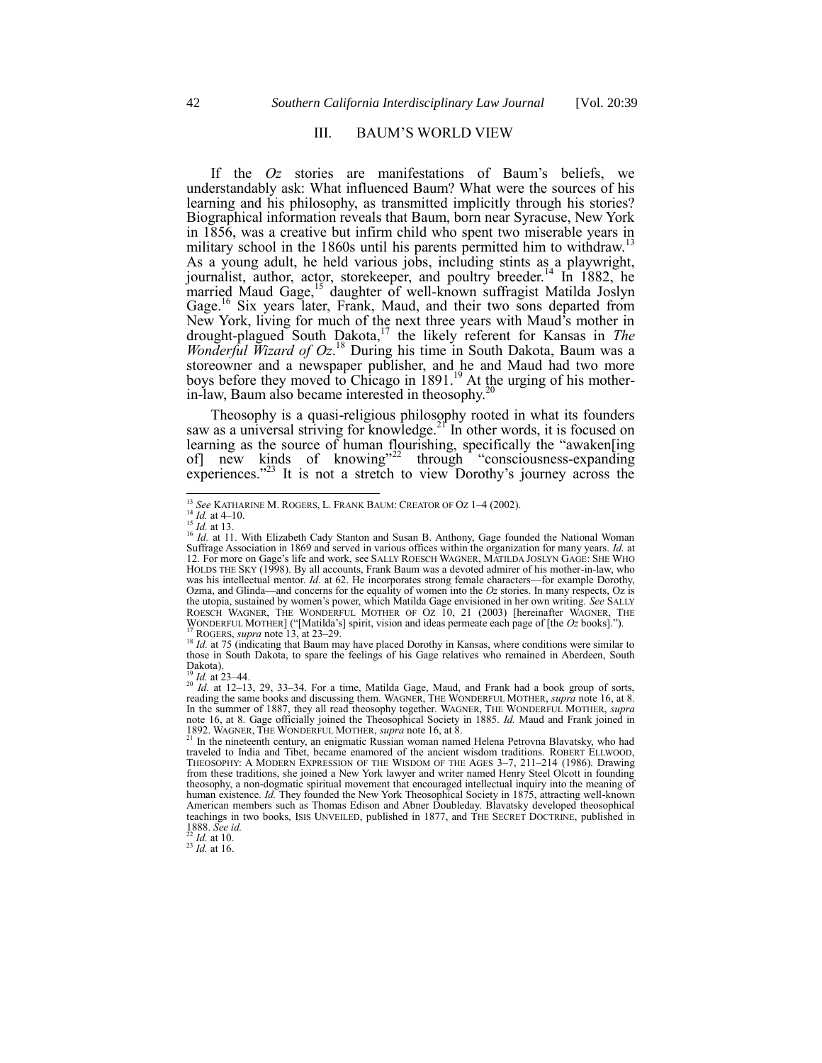## <span id="page-3-0"></span>III. BAUM'S WORLD VIEW

If the *Oz* stories are manifestations of Baum's beliefs, we understandably ask: What influenced Baum? What were the sources of his learning and his philosophy, as transmitted implicitly through his stories? Biographical information reveals that Baum, born near Syracuse, New York in 1856, was a creative but infirm child who spent two miserable years in military school in the 1860s until his parents permitted him to withdraw.<sup>13</sup> As a young adult, he held various jobs, including stints as a playwright, journalist, author, actor, storekeeper, and poultry breeder.<sup>14</sup> In 1882, he married Maud Gage,<sup>15</sup> daughter of well-known suffragist Matilda Joslyn Gage.<sup>16</sup> Six years later, Frank, Maud, and their two sons departed from New York, living for much of the next three years with Maud's mother in drought-plagued South Dakota,<sup>17</sup> the likely referent for Kansas in *The Wonderful Wizard of Oz*. <sup>18</sup> During his time in South Dakota, Baum was a storeowner and a newspaper publisher, and he and Maud had two more boys before they moved to Chicago in 1891.<sup>19</sup> At the urging of his motherin-law, Baum also became interested in theosophy. $2^{2}$ 

<span id="page-3-3"></span><span id="page-3-2"></span><span id="page-3-1"></span>Theosophy is a quasi-religious philosophy rooted in what its founders saw as a universal striving for knowledge.<sup>21</sup> In other words, it is focused on learning as the source of human flourishing, specifically the "awaken[ing] of  $\frac{1}{2}$  new kinds of knowing<sup>322</sup> through "consciousness-expanding" experiences."<sup>23</sup> It is not a stretch to view Dorothy's journey across the

 $^{14}$  *Id.* at 4–10.

l

<sup>19</sup> *Id.* at 23–44.

*Id.* at 10.

 $^{23}$  *Id.* at 16.

<sup>13</sup> *See* KATHARINE M. ROGERS, L. FRANK BAUM: CREATOR OF OZ 1–4 (2002).

<sup>&</sup>lt;sup>15</sup> *Id.* at 13.<br><sup>16</sup> *Id.* at 11. With Elizabeth Cady Stanton and Susan B. Anthony, Gage founded the National Woman Suffrage Association in 1869 and served in various offices within the organization for many years. *Id.* at 12. For more on Gage's life and work, see SALLY ROESCH WAGNER, MATILDA JOSLYN GAGE: SHE WHO HOLDS THE SKY (1998). By all accounts, Frank Baum was a devoted admirer of his mother-in-law, who was his intellectual mentor. *Id.* at 62. He incorporates strong female characters—for example Dorothy, Ozma, and Glinda—and concerns for the equality of women into the *Oz* stories. In many respects, Oz is the utopia, sustained by women's power, which Matilda Gage envisioned in her own writing. *See* SALLY ROESCH WAGNER, THE WONDERFUL MOTHER OF OZ 10, 21 (2003) [hereinafter WAGNER, THE WONDERFUL MOTHER] ("[Matilda's] spirit, vision and ideas permeate each page of [the *Oz* books].").<br><sup>17</sup> ROGERS, *supra* not[e 13,](#page-3-0) at 23–29.

<sup>&</sup>lt;sup>18</sup> *Id.* at 75 (indicating that Baum may have placed Dorothy in Kansas, where conditions were similar to those in South Dakota, to spare the feelings of his Gage relatives who remained in Aberdeen, South Dakota).

<sup>20</sup> *Id.* at 12–13, 29, 33–34. For a time, Matilda Gage, Maud, and Frank had a book group of sorts, reading the same books and discussing them. WAGNER, THE WONDERFUL MOTHER, *supra* not[e 16,](#page-3-1) at 8. In the summer of 1887, they all read theosophy together. WAGNER, THE WONDERFUL MOTHER, *supra* note [16,](#page-3-1) at 8. Gage officially joined the Theosophical Society in 1885. *Id.* Maud and Frank joined in 1892. WAGNER, THE WONDERFUL MOTHER, *supra* not[e 16,](#page-3-1) at 8. <sup>21</sup> In the nineteenth century, an enigmatic Russian woman named Helena Petrovna Blavatsky, who had

traveled to India and Tibet, became enamored of the ancient wisdom traditions. ROBERT ELLWOOD, THEOSOPHY: A MODERN EXPRESSION OF THE WISDOM OF THE AGES 3–7, 211–214 (1986). Drawing from these traditions, she joined a New York lawyer and writer named Henry Steel Olcott in founding theosophy, a non-dogmatic spiritual movement that encouraged intellectual inquiry into the meaning of human existence. *Id.* They founded the New York Theosophical Society in 1875, attracting well-known American members such as Thomas Edison and Abner Doubleday. Blavatsky developed theosophical teachings in two books, ISIS UNVEILED, published in 1877, and THE SECRET DOCTRINE, published in 1888. *See id.*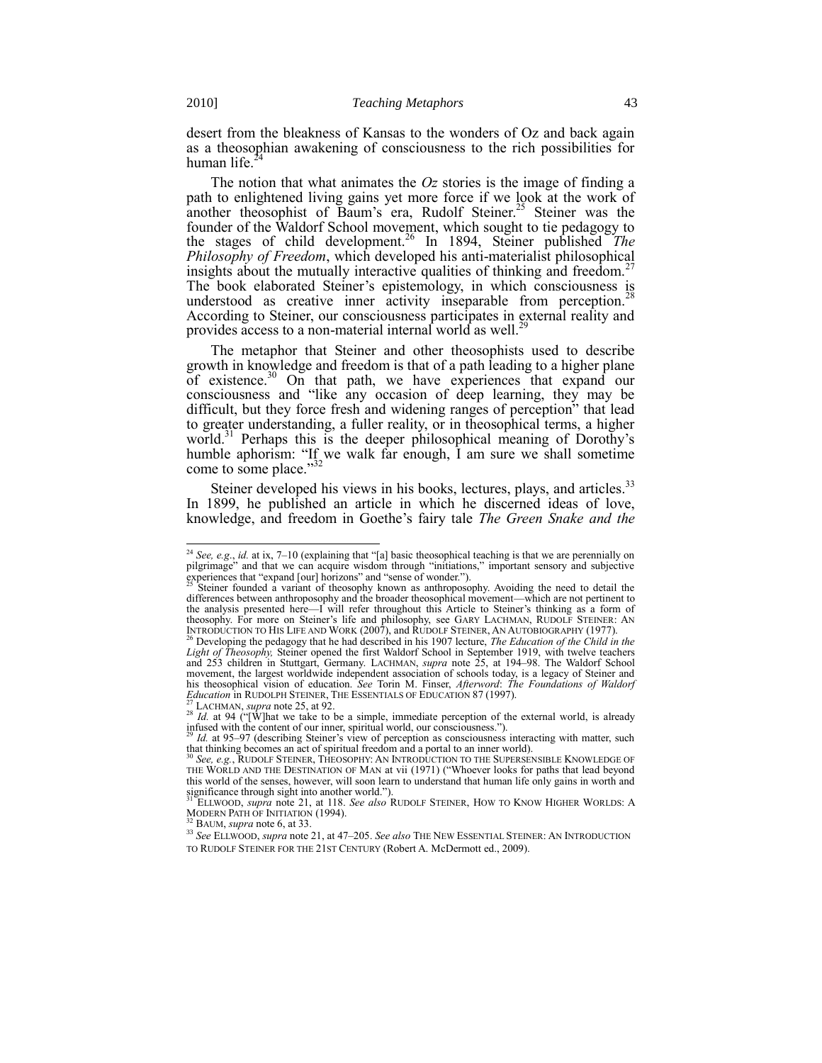desert from the bleakness of Kansas to the wonders of Oz and back again as a theosophian awakening of consciousness to the rich possibilities for human life.<sup>2</sup>

<span id="page-4-3"></span><span id="page-4-1"></span><span id="page-4-0"></span>The notion that what animates the *Oz* stories is the image of finding a path to enlightened living gains yet more force if we look at the work of another theosophist of Baum's era, Rudolf Steiner.<sup>25</sup> Steiner was the founder of the Waldorf School movement, which sought to tie pedagogy to the stages of child development.<sup>26</sup> In 1894, Steiner published *The Philosophy of Freedom*, which developed his anti-materialist philosophical insights about the mutually interactive qualities of thinking and freedom.<sup>27</sup> The book elaborated Steiner's epistemology, in which consciousness is understood as creative inner activity inseparable from perception.<sup>2</sup> According to Steiner, our consciousness participates in external reality and provides access to a non-material internal world as well. $2<sup>2</sup>$ 

<span id="page-4-2"></span>The metaphor that Steiner and other theosophists used to describe growth in knowledge and freedom is that of a path leading to a higher plane of existence.<sup>30</sup> On that path, we have experiences that expand our consciousness and "like any occasion of deep learning, they may be difficult, but they force fresh and widening ranges of perception<sup>"</sup> that lead to greater understanding, a fuller reality, or in theosophical terms, a higher world.<sup>31</sup> Perhaps this is the deeper philosophical meaning of Dorothy's humble aphorism: "If we walk far enough, I am sure we shall sometime come to some place."<sup>3</sup>

Steiner developed his views in his books, lectures, plays, and articles.<sup>33</sup> In 1899, he published an article in which he discerned ideas of love, knowledge, and freedom in Goethe's fairy tale *The Green Snake and the* 

BAUM, *supra* not[e 6,](#page-1-0) at 33.

<sup>&</sup>lt;sup>24</sup> *See, e.g., id.* at ix, 7–10 (explaining that "[a] basic theosophical teaching is that we are perennially on pilgrimage" and that we can acquire wisdom through "initiations," important sensory and subjective experiences that "expand [our] horizons" and "sense of wonder.").<br><sup>25</sup> Steiner founded a variant of theosophy known as anthroposophy. Avoiding the need to detail the

differences between anthroposophy and the broader theosophical movement—which are not pertinent to the analysis presented here—I will refer throughout this Article to Steiner's thinking as a form of theosophy. For more on Steiner's life and philosophy, see GARY LACHMAN, RUDOLF STEINER: AN INTRODUCTION TO HIS LIFE AND WORK (2007), and RUDOLF STEINER, AN AUTOBIOGRAPHY (1977).<br><sup>26</sup> Developing the pedagogy that he had described in his 1907 lecture, *The Education of the Child in the* 

*Light of Theosophy,* Steiner opened the first Waldorf School in September 1919, with twelve teachers and 253 children in Stuttgart, Germany. LACHMAN, *supra* note [25,](#page-4-0) at 194–98. The Waldorf School movement, the largest worldwide independent association of schools today, is a legacy of Steiner and his theosophical vision of education. *See* Torin M. Finser, *Afterword*: *The Foundations of Waldorf Education* in RUDOLPH STEINER, THE ESSENTIALS OF EDUCATION 87 (1997).

<sup>27</sup> LACHMAN, *supra* note [25,](#page-4-0) at 92.

<sup>&</sup>lt;sup>28</sup> *Id.* at 94 ("[W]hat we take to be a simple, immediate perception of the external world, is already infused with the content of our inner, spiritual world, our consciousness.").

<sup>&</sup>lt;sup>29</sup> *Id.* at 95–97 (describing Steiner's view of perception as consciousness interacting with matter, such that thinking becomes an act of spiritual freedom and a portal to an inner world).

<sup>30</sup> *See, e.g.*, RUDOLF STEINER, THEOSOPHY: AN INTRODUCTION TO THE SUPERSENSIBLE KNOWLEDGE OF THE WORLD AND THE DESTINATION OF MAN at vii (1971) ("Whoever looks for paths that lead beyond this world of the senses, however, will soon learn to understand that human life only gains in worth and significance through sight into another world.").<br><sup>31</sup> ELLWOOD, *supra* note [21,](#page-3-2) at 118. *See also* RUDOLF STEINER, HOW TO KNOW HIGHER WORLDS: A

MODERN PATH OF INITIATION (1994).

<sup>33</sup> *See* ELLWOOD, *supra* not[e 21,](#page-3-2) at 47–205. *See also* THE NEW ESSENTIAL STEINER: AN INTRODUCTION TO RUDOLF STEINER FOR THE 21ST CENTURY (Robert A. McDermott ed., 2009).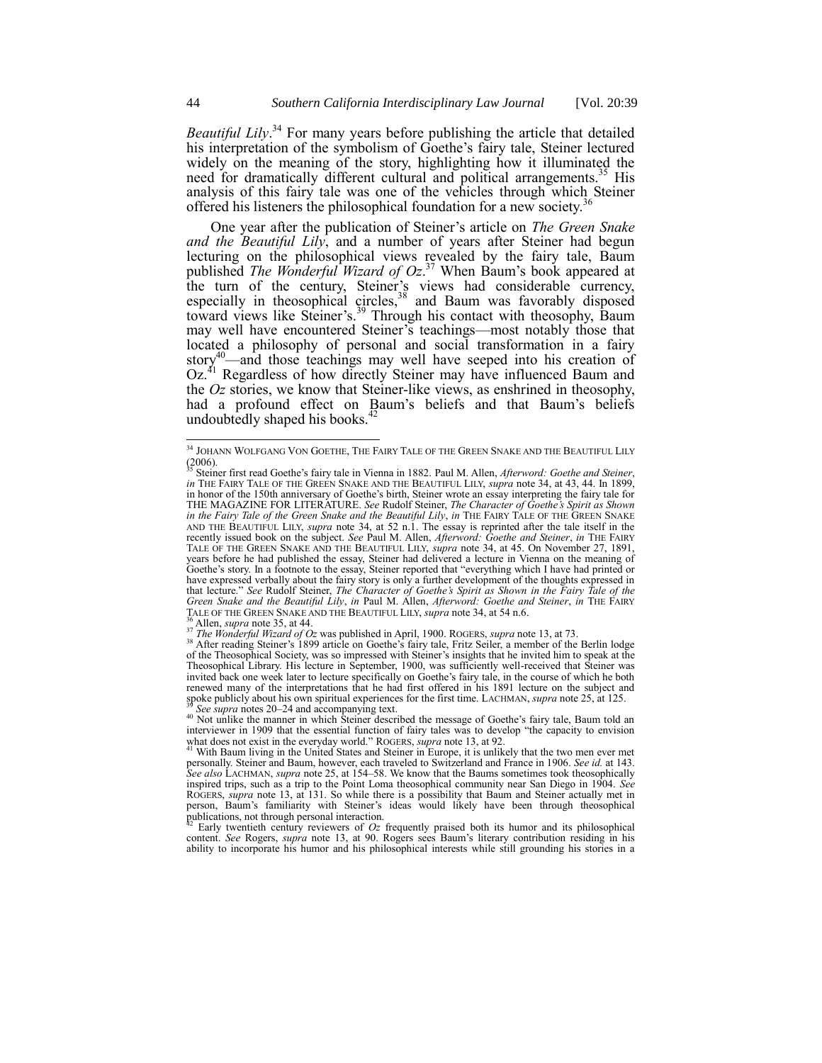<span id="page-5-0"></span>*Beautiful Lily*. <sup>34</sup> For many years before publishing the article that detailed his interpretation of the symbolism of Goethe's fairy tale, Steiner lectured widely on the meaning of the story, highlighting how it illuminated the need for dramatically different cultural and political arrangements.<sup>35</sup> His analysis of this fairy tale was one of the vehicles through which Steiner offered his listeners the philosophical foundation for a new society.<sup>3</sup>

<span id="page-5-1"></span>One year after the publication of Steiner's article on *The Green Snake and the Beautiful Lily*, and a number of years after Steiner had begun lecturing on the philosophical views revealed by the fairy tale, Baum published *The Wonderful Wizard of Oz*. <sup>37</sup> When Baum's book appeared at the turn of the century, Steiner's views had considerable currency, especially in theosophical circles, $38$  and Baum was favorably disposed toward views like Steiner's.<sup>39</sup> Through his contact with theosophy, Baum may well have encountered Steiner's teachings—most notably those that located a philosophy of personal and social transformation in a fairy story $40$ —and those teachings may well have seeped into his creation of Oz.<sup>41</sup> Regardless of how directly Steiner may have influenced Baum and the *Oz* stories, we know that Steiner-like views, as enshrined in theosophy, had a profound effect on Baum's beliefs and that Baum's beliefs undoubtedly shaped his books.<sup>42</sup>

<sup>34</sup> JOHANN WOLFGANG VON GOETHE, THE FAIRY TALE OF THE GREEN SNAKE AND THE BEAUTIFUL LILY (2006). <sup>35</sup> Steiner first read Goethe's fairy tale in Vienna in 1882. Paul M. Allen, *Afterword: Goethe and Steiner*,

*in* THE FAIRY TALE OF THE GREEN SNAKE AND THE BEAUTIFUL LILY, *supra* note [34,](#page-5-0) at 43, 44. In 1899, in honor of the 150th anniversary of Goethe's birth, Steiner wrote an essay interpreting the fairy tale for THE MAGAZINE FOR LITERATURE. *See* Rudolf Steiner, *The Character of Goethe's Spirit as Shown in the Fairy Tale of the Green Snake and the Beautiful Lily*, *in* THE FAIRY TALE OF THE GREEN SNAKE AND THE BEAUTIFUL LILY, *supra* note [34,](#page-5-0) at 52 n.l. The essay is reprinted after the tale itself in the recently issued book on the subject. *See* Paul M. Allen, *Afterword: Goethe and Steiner*, in THE FAIRY TALE OF THE GREEN SNAKE AND THE BEAUTIFUL LILY, *supra* not[e 34,](#page-5-0) at 45. On November 27, 1891, years before he had published the essay, Steiner had delivered a lecture in Vienna on the meaning of Goethe's story. In a footnote to the essay, Steiner reported that "everything which I have had printed or have expressed verbally about the fairy story is only a further development of the thoughts expressed in that lecture." See Rudolf Steiner, *The Character of Goethe's Spirit as Shown in the Fairy Tale of the*<br>*Green Snake and the Beautiful Lily, in Paul M. Allen, Afterword: Goethe and Steiner, in THE FAIRY* TALE OF THE GREEN SNAKE AND THE BEAUTIFUL LILY, *supra* not[e 34,](#page-5-0) at 54 n.6.

<sup>36</sup> Allen, *supra* not[e 35,](#page-5-1) at 44. <sup>37</sup> *The Wonderful Wizard of Oz* was published in April, 1900. ROGERS, *supra* not[e 13,](#page-3-0) at 73.

<sup>&</sup>lt;sup>38</sup> After reading Steiner's 1899 article on Goethe's fairy tale, Fritz Seiler, a member of the Berlin lodge of the Theosophical Society, was so impressed with Steiner's insights that he invited him to speak at the Theosophical Library. His lecture in September, 1900, was sufficiently well-received that Steiner was invited back one week later to lecture specifically on Goethe's fairy tale, in the course of which he both renewed many of the interpretations that he had first offered in his 1891 lecture on the subject and spoke publicly about his own spiritual experiences for the first time. LACHMAN, *supra* not[e 25,](#page-4-0) at 125. See *supra* note[s 20](#page-3-3)–[24](#page-4-1) and accompanying text.

<sup>&</sup>lt;sup>40</sup> Not unlike the manner in which Steiner described the message of Goethe's fairy tale, Baum told an interviewer in 1909 that the essential function of fairy tales was to develop "the capacity to envision what does not exist in the everyday world." ROGERS, *supra* not[e 13,](#page-3-0) at 92.

<sup>41</sup> With Baum living in the United States and Steiner in Europe, it is unlikely that the two men ever met personally. Steiner and Baum, however, each traveled to Switzerland and France in 1906. *See id.* at 143. *See also* LACHMAN, *supra* not[e 25,](#page-4-0) at 154–58. We know that the Baums sometimes took theosophically inspired trips, such as a trip to the Point Loma theosophical community near San Diego in 1904. *See*  ROGERS, *supra* note [13,](#page-3-0) at 131. So while there is a possibility that Baum and Steiner actually met in person, Baum's familiarity with Steiner's ideas would likely have been through theosophical publications, not through personal interaction.

Early twentieth century reviewers of  $Oz$  frequently praised both its humor and its philosophical content. *See* Rogers, *supra* note [13](#page-3-0), at 90. Rogers sees Baum's literary contribution residing in his ability to incorporate his humor and his philosophical interests while still grounding his stories in a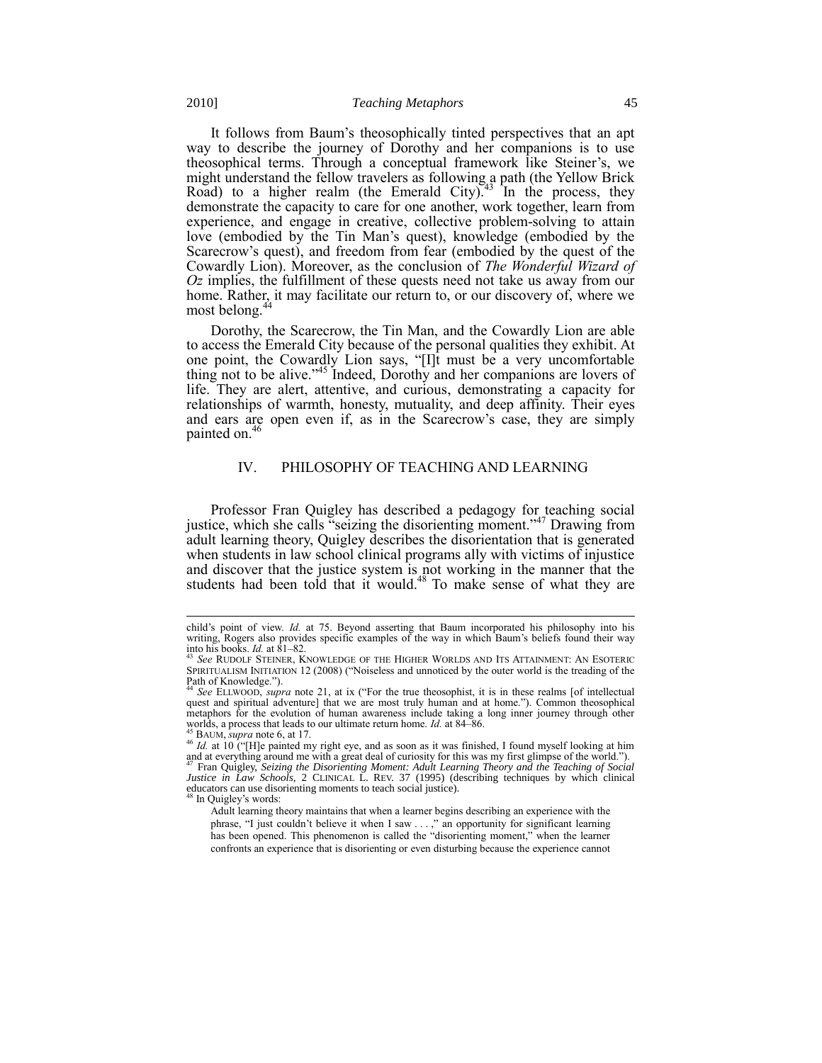<span id="page-6-2"></span>It follows from Baum's theosophically tinted perspectives that an apt way to describe the journey of Dorothy and her companions is to use theosophical terms. Through a conceptual framework like Steiner's, we might understand the fellow travelers as following a path (the Yellow Brick Road) to a higher realm (the Emerald City).<sup>43</sup> In the process, they demonstrate the capacity to care for one another, work together, learn from experience, and engage in creative, collective problem-solving to attain love (embodied by the Tin Man's quest), knowledge (embodied by the Scarecrow's quest), and freedom from fear (embodied by the quest of the Cowardly Lion). Moreover, as the conclusion of *The Wonderful Wizard of Oz* implies, the fulfillment of these quests need not take us away from our home. Rather, it may facilitate our return to, or our discovery of, where we most belong.<sup>4</sup>

<span id="page-6-0"></span>Dorothy, the Scarecrow, the Tin Man, and the Cowardly Lion are able to access the Emerald City because of the personal qualities they exhibit. At one point, the Cowardly Lion says, "[I]t must be a very uncomfortable thing not to be alive."<sup>45</sup> Indeed, Dorothy and her companions are lovers of life. They are alert, attentive, and curious, demonstrating a capacity for relationships of warmth, honesty, mutuality, and deep affinity. Their eyes and ears are open even if, as in the Scarecrow's case, they are simply painted on.<sup>4</sup>

#### <span id="page-6-1"></span>IV. PHILOSOPHY OF TEACHING AND LEARNING

Professor Fran Quigley has described a pedagogy for teaching social justice, which she calls "seizing the disorienting moment."<sup>47</sup> Drawing from adult learning theory, Quigley describes the disorientation that is generated when students in law school clinical programs ally with victims of injustice and discover that the justice system is not working in the manner that the students had been told that it would.<sup>48</sup> To make sense of what they are

child's point of view. *Id.* at 75. Beyond asserting that Baum incorporated his philosophy into his writing, Rogers also provides specific examples of the way in which Baum's beliefs found their way into his books. *Id.* at 81–82.

<sup>43</sup> *See* RUDOLF STEINER, KNOWLEDGE OF THE HIGHER WORLDS AND ITS ATTAINMENT: AN ESOTERIC SPIRITUALISM INITIATION 12 (2008) ("Noiseless and unnoticed by the outer world is the treading of the Path of Knowledge.").<br><sup>44</sup> *See* ELLWOOD, *supra* note [21](#page-3-2), at ix ("For the true theosophist, it is in these realms [of intellectual

quest and spiritual adventure] that we are most truly human and at home."). Common theosophical metaphors for the evolution of human awareness include taking a long inner journey through other worlds, a process that leads to our ultimate return home. *Id.* at 84–86.

BAUM, *supra* not[e 6,](#page-1-0) at 17.

 $^{46}$  *Id.* at 10 ("[H]e painted my right eye, and as soon as it was finished, I found myself looking at him and at everything around me with a great deal of curiosity for this was my first glimpse of the world."). <sup>47</sup> Fran Quigley, *Seizing the Disorienting Moment: Adult Learning Theory and the Teaching of Social Justice in Law Schools*, 2 CLINICAL L. REV. 37 (1995) (describing techniques by which clinical educators can use disorienting moments to teach social justice).

In Quigley's words:

Adult learning theory maintains that when a learner begins describing an experience with the phrase, "I just couldn't believe it when I saw  $\dots$ ," an opportunity for significant learning has been opened. This phenomenon is called the "disorienting moment," when the learner confronts an experience that is disorienting or even disturbing because the experience cannot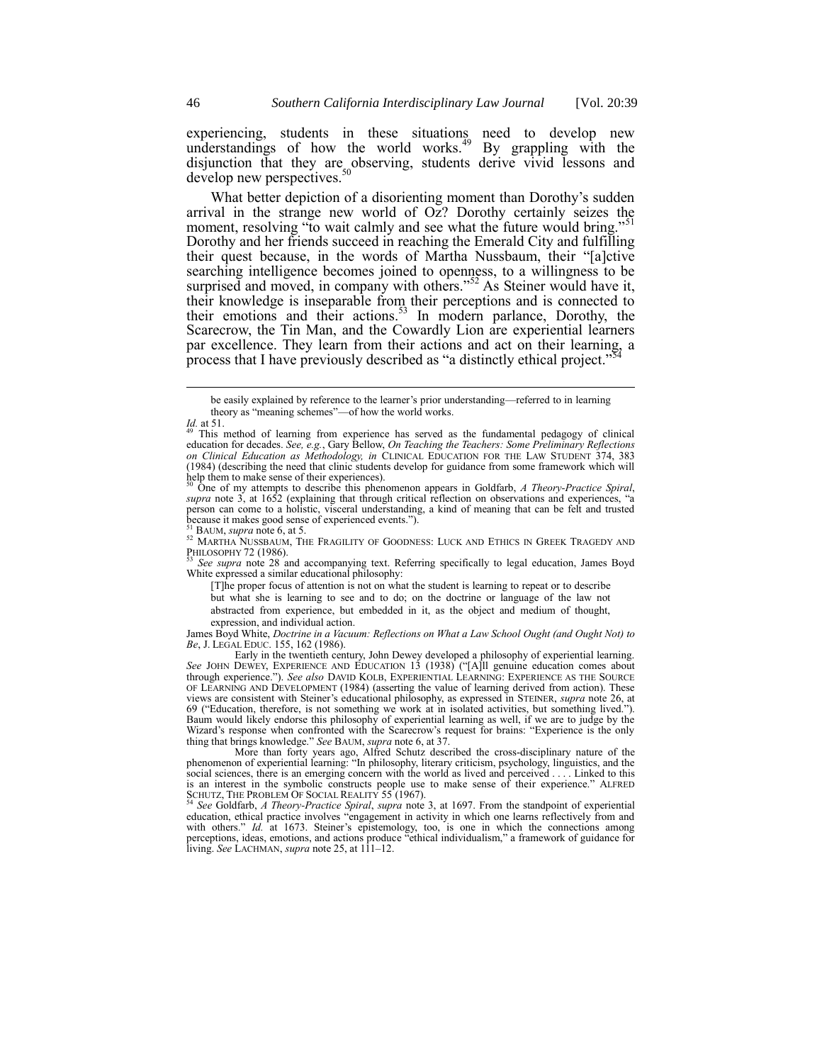experiencing, students in these situations need to develop new understandings of how the world works.<sup>49</sup> By grappling with the disjunction that they are observing, students derive vivid lessons and develop new perspectives.<sup>50</sup>

What better depiction of a disorienting moment than Dorothy's sudden arrival in the strange new world of Oz? Dorothy certainly seizes the moment, resolving "to wait calmly and see what the future would bring." Dorothy and her friends succeed in reaching the Emerald City and fulfilling their quest because, in the words of Martha Nussbaum, their "[a]ctive searching intelligence becomes joined to openness, to a willingness to be surprised and moved, in company with others.<sup>552</sup> As Steiner would have it, their knowledge is inseparable from their perceptions and is connected to their emotions and their actions.<sup>53</sup> In modern parlance, Dorothy, the Scarecrow, the Tin Man, and the Cowardly Lion are experiential learners par excellence. They learn from their actions and act on their learning, a process that I have previously described as "a distinctly ethical project."

l

*supra* note [3](#page-0-0), at 1652 (explaining that through critical reflection on observations and experiences, "a person can come to a holistic, visceral understanding, a kind of meaning that can be felt and trusted because it makes good sense of experienced events.").

<sup>53</sup> *See supra* note [28](#page-4-2) and accompanying text. Referring specifically to legal education, James Boyd White expressed a similar educational philosophy:

[T]he proper focus of attention is not on what the student is learning to repeat or to describe but what she is learning to see and to do; on the doctrine or language of the law not abstracted from experience, but embedded in it, as the object and medium of thought, expression, and individual action.

James Boyd White, *Doctrine in a Vacuum: Reflections on What a Law School Ought (and Ought Not) to Be*, J. LEGAL EDUC. 155, 162 (1986).

Early in the twentieth century, John Dewey developed a philosophy of experiential learning.<br>*See* JOHN DEWEY, EXPERIENCE AND EDUCATION 13 (1938) ("[A]ll genuine education comes about through experience.‖). *See also* DAVID KOLB, EXPERIENTIAL LEARNING: EXPERIENCE AS THE SOURCE OF LEARNING AND DEVELOPMENT (1984) (asserting the value of learning derived from action). These views are consistent with Steiner's educational philosophy, as expressed in STEINER, *supra* not[e 26,](#page-4-3) at 69 ("Education, therefore, is not something we work at in isolated activities, but something lived."). Baum would likely endorse this philosophy of experiential learning as well, if we are to judge by the Wizard's response when confronted with the Scarecrow's request for brains: "Experience is the only thing that brings knowledge.‖ *See* BAUM, *supra* not[e 6,](#page-1-0) at 37.

More than forty years ago, Alfred Schutz described the cross-disciplinary nature of the phenomenon of experiential learning: "In philosophy, literary criticism, psychology, linguistics, and the social sciences, there is an emerging concern with the world as lived and perceived . . . . Linked to this is an interest in the symbolic constructs people use to make sense of their experience." ALFRED<br>SCHUTZ, THE PROBLEM OF SOCIAL REALITY 55 (1967).<br><sup>54</sup> See Goldfarb, A Theory-Practice Spiral, supra note [3,](#page-0-0) at 1697. From the

education, ethical practice involves "engagement in activity in which one learns reflectively from and with others." *Id.* at 1673. Steiner's epistemology, too, is one in which the connections among perceptions, ideas, emotions, and actions produce "ethical individualism," a framework of guidance for living. *See* LACHMAN, *supra* not[e 25,](#page-4-0) at 111–12.

be easily explained by reference to the learner's prior understanding—referred to in learning theory as "meaning schemes"—of how the world works.

*Id.* at 51.

This method of learning from experience has served as the fundamental pedagogy of clinical education for decades. *See, e.g.*, Gary Bellow, *On Teaching the Teachers: Some Preliminary Reflections on Clinical Education as Methodology, in* CLINICAL EDUCATION FOR THE LAW STUDENT 374, 383 (1984) (describing the need that clinic students develop for guidance from some framework which will help them to make sense of their experiences). <sup>50</sup> One of my attempts to describe this phenomenon appears in Goldfarb, *A Theory-Practice Spiral*,

BAUM, *supra* not[e 6,](#page-1-0) at 5.

<sup>52</sup> MARTHA NUSSBAUM, THE FRAGILITY OF GOODNESS: LUCK AND ETHICS IN GREEK TRAGEDY AND PHILOSOPHY 72 (1986).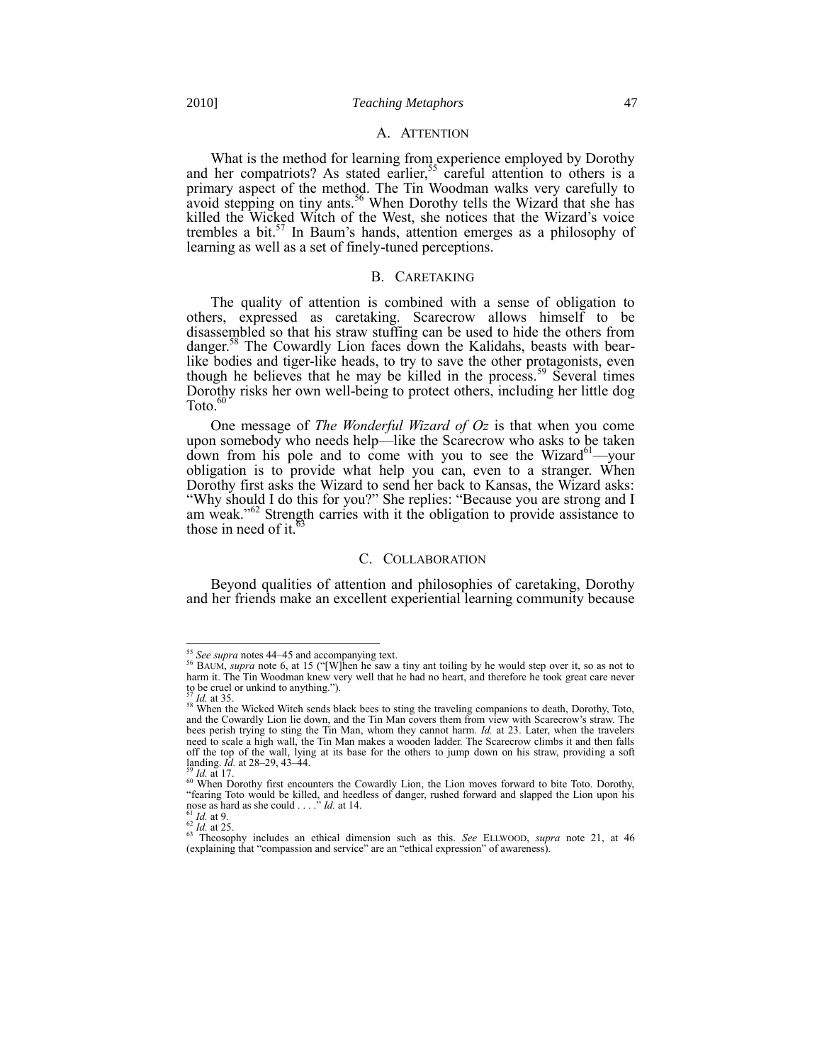#### A. ATTENTION

What is the method for learning from experience employed by Dorothy and her compatriots? As stated earlier,<sup>55</sup> careful attention to others is a primary aspect of the method. The Tin Woodman walks very carefully to avoid stepping on tiny ants.<sup>56</sup> When Dorothy tells the Wizard that she has killed the Wicked Witch of the West, she notices that the Wizard's voice trembles a bit.<sup>57</sup> In Baum's hands, attention emerges as a philosophy of learning as well as a set of finely-tuned perceptions.

## B. CARETAKING

The quality of attention is combined with a sense of obligation to others, expressed as caretaking. Scarecrow allows himself to be disassembled so that his straw stuffing can be used to hide the others from danger.<sup>58</sup> The Cowardly Lion faces down the Kalidahs, beasts with bearlike bodies and tiger-like heads, to try to save the other protagonists, even though he believes that he may be killed in the process.<sup>59</sup> Several times Dorothy risks her own well-being to protect others, including her little dog Toto. $6$ 

One message of *The Wonderful Wizard of Oz* is that when you come upon somebody who needs help—like the Scarecrow who asks to be taken down from his pole and to come with you to see the Wizard<sup>61</sup>—your obligation is to provide what help you can, even to a stranger. When Dorothy first asks the Wizard to send her back to Kansas, the Wizard asks: "Why should I do this for you?" She replies: "Because you are strong and I am weak."<sup>62</sup> Strength carries with it the obligation to provide assistance to those in need of it.<sup>63</sup>

#### C. COLLABORATION

Beyond qualities of attention and philosophies of caretaking, Dorothy and her friends make an excellent experiential learning community because

<sup>&</sup>lt;sup>55</sup> See supra note[s 44](#page-6-0)–[45](#page-6-1) and accompanying text.<br><sup>56</sup> BAUM, *supra* not[e 6](#page-1-0), at 15 ("[W]hen he saw a tiny ant toiling by he would step over it, so as not to harm it. The Tin Woodman knew very well that he had no heart, and therefore he took great care never to be cruel or unkind to anything.").

<sup>57</sup> *Id.* at 35.

<sup>&</sup>lt;sup>58</sup> When the Wicked Witch sends black bees to sting the traveling companions to death, Dorothy, Toto, and the Cowardly Lion lie down, and the Tin Man covers them from view with Scarecrow's straw. The bees perish trying to sting the Tin Man, whom they cannot harm. *Id.* at 23. Later, when the travelers need to scale a high wall, the Tin Man makes a wooden ladder. The Scarecrow climbs it and then falls off the top of the wall, lying at its base for the others to jump down on his straw, providing a soft landing. *Id.* at 28–29, 43–44.

*Id.* at 17.

 $\frac{60}{60}$  When Dorothy first encounters the Cowardly Lion, the Lion moves forward to bite Toto. Dorothy, ―fearing Toto would be killed, and heedless of danger, rushed forward and slapped the Lion upon his nose as hard as she could . . . ." *Id.* at 14.

<sup>61</sup> *Id.* at 9. <sup>62</sup> *Id.* at 25.

<sup>63</sup> Theosophy includes an ethical dimension such as this. *See* ELLWOOD, *supra* note [21,](#page-3-2) at 46 (explaining that "compassion and service" are an "ethical expression" of awareness).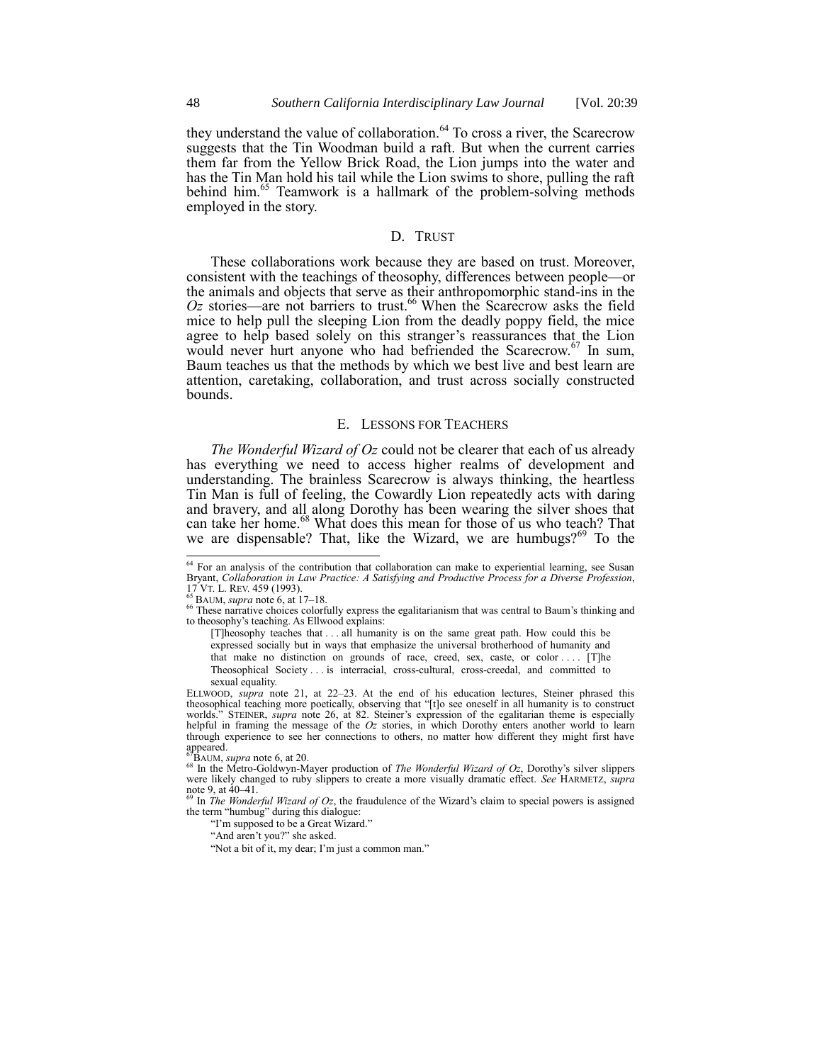they understand the value of collaboration. $64$  To cross a river, the Scarecrow suggests that the Tin Woodman build a raft. But when the current carries them far from the Yellow Brick Road, the Lion jumps into the water and has the Tin Man hold his tail while the Lion swims to shore, pulling the raft behind him.<sup>65</sup> Teamwork is a hallmark of the problem-solving methods employed in the story.

## D. TRUST

These collaborations work because they are based on trust. Moreover, consistent with the teachings of theosophy, differences between people—or the animals and objects that serve as their anthropomorphic stand-ins in the  $Oz$  stories—are not barriers to trust.<sup>66</sup> When the Scarecrow asks the field mice to help pull the sleeping Lion from the deadly poppy field, the mice agree to help based solely on this stranger's reassurances that the Lion would never hurt anyone who had befriended the Scarecrow.<sup>67</sup> In sum, Baum teaches us that the methods by which we best live and best learn are attention, caretaking, collaboration, and trust across socially constructed bounds.

## E. LESSONS FOR TEACHERS

*The Wonderful Wizard of Oz* could not be clearer that each of us already has everything we need to access higher realms of development and understanding. The brainless Scarecrow is always thinking, the heartless Tin Man is full of feeling, the Cowardly Lion repeatedly acts with daring and bravery, and all along Dorothy has been wearing the silver shoes that can take her home.<sup>68</sup> What does this mean for those of us who teach? That we are dispensable? That, like the Wizard, we are humbugs? $69^{\circ}$  To the

<sup>&</sup>lt;sup>64</sup> For an analysis of the contribution that collaboration can make to experiential learning, see Susan Bryant, *Collaboration in Law Practice: A Satisfying and Productive Process for a Diverse Profession*, 17 VT. L. REV. 459 (1993). <sup>65</sup> BAUM, *supra* not[e 6,](#page-1-0) at 17–18.

<sup>&</sup>lt;sup>66</sup> These narrative choices colorfully express the egalitarianism that was central to Baum's thinking and to theosophy's teaching. As Ellwood explains:

<sup>[</sup>T]heosophy teaches that . . . all humanity is on the same great path. How could this be expressed socially but in ways that emphasize the universal brotherhood of humanity and that make no distinction on grounds of race, creed, sex, caste, or color . . . . [T]he Theosophical Society . . . is interracial, cross-cultural, cross-creedal, and committed to sexual equality.

ELLWOOD, *supra* note [21,](#page-3-2) at 22–23. At the end of his education lectures, Steiner phrased this theosophical teaching more poetically, observing that "[t]o see oneself in all humanity is to construct " STEINER, *supra* note [26](#page-4-3), at 82. Steiner's expression of the egalitarian theme is especially helpful in framing the message of the *Oz* stories, in which Dorothy enters another world to learn through experience to see her connections to others, no matter how different they might first have appeared. <sup>67</sup>BAUM, *supra* not[e 6,](#page-1-0) at 20.

<sup>68</sup> In the Metro-Goldwyn-Mayer production of *The Wonderful Wizard of Oz*, Dorothy's silver slippers were likely changed to ruby slippers to create a more visually dramatic effect. *See* HARMETZ, *supra* note [9,](#page-2-0) at  $40-41$ .

<sup>69</sup> In *The Wonderful Wizard of Oz*, the fraudulence of the Wizard's claim to special powers is assigned the term "humbug" during this dialogue:

<sup>&</sup>quot;I'm supposed to be a Great Wizard."

<sup>&</sup>quot;And aren't you?" she asked.

<sup>&</sup>quot;Not a bit of it, my dear; I'm just a common man."